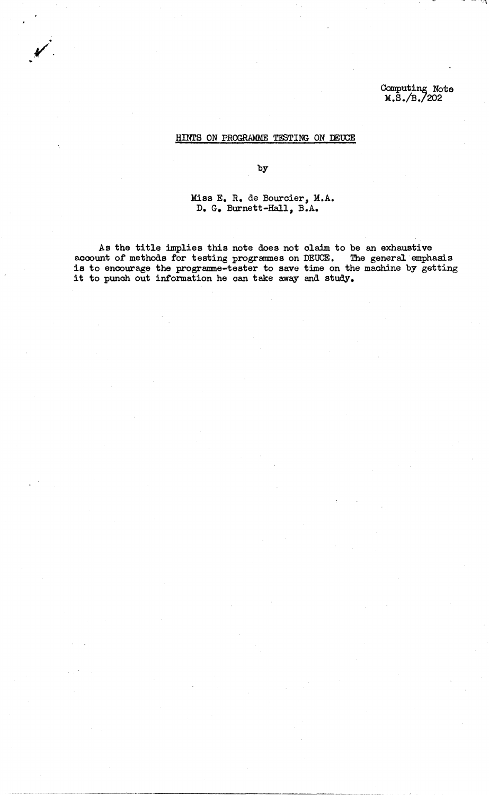Computing Note M.S.∕B.∕202

## HINTS ON PROGRAMME TESTING ON DEUCE

by

Miss E. R, de Bourcier, M.A. D. G, Burnett-Hall, B.A,

As the title implies this note does not olaim to be an exhaustive ao∞unt of methods for testing programmes on DEUCE. The general emphasis is to encourage the programme-tester to save time on the machine by getting it to punch out information he can take away and study.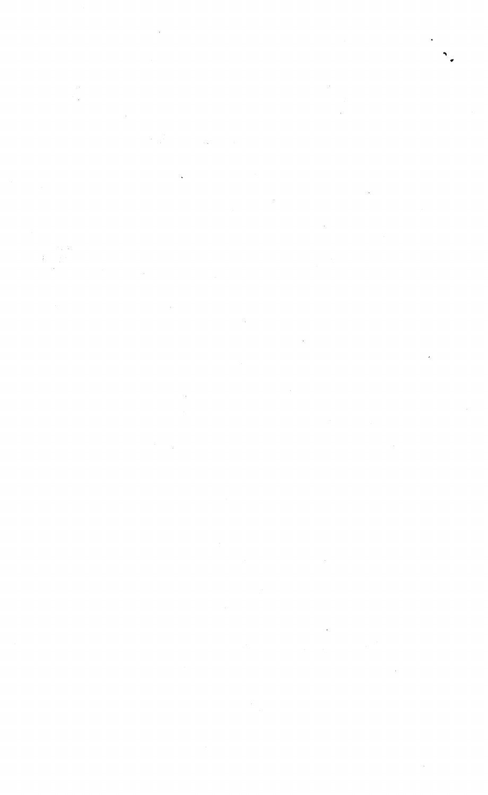$\frac{1}{2} \sum_{i=1}^{n} \frac{1}{2} \sum_{j=1}^{n} \frac{1}{2} \sum_{j=1}^{n} \frac{1}{2} \sum_{j=1}^{n} \frac{1}{2} \sum_{j=1}^{n} \frac{1}{2} \sum_{j=1}^{n} \frac{1}{2} \sum_{j=1}^{n} \frac{1}{2} \sum_{j=1}^{n} \frac{1}{2} \sum_{j=1}^{n} \frac{1}{2} \sum_{j=1}^{n} \frac{1}{2} \sum_{j=1}^{n} \frac{1}{2} \sum_{j=1}^{n} \frac{1}{2} \sum_{j=1}^{n$  $\label{eq:2.1} \begin{split} \mathcal{L}_{\text{max}}(\mathbf{r}) = \frac{1}{2} \sum_{i=1}^{N} \mathcal{L}_{\text{max}}(\mathbf{r}) \mathcal{L}_{\text{max}}(\mathbf{r}) \\ \mathcal{L}_{\text{max}}(\mathbf{r}) = \frac{1}{2} \sum_{i=1}^{N} \mathcal{L}_{\text{max}}(\mathbf{r}) \mathcal{L}_{\text{max}}(\mathbf{r}) \mathcal{L}_{\text{max}}(\mathbf{r}) \end{split}$  $\label{eq:2.1} \frac{1}{\sqrt{2}}\int_{0}^{\infty}\frac{1}{\sqrt{2\pi}}\left(\frac{1}{\sqrt{2}}\right)^{2}d\mu_{\rm{eff}}$ 

 $\mathcal{L}_{\text{max}}$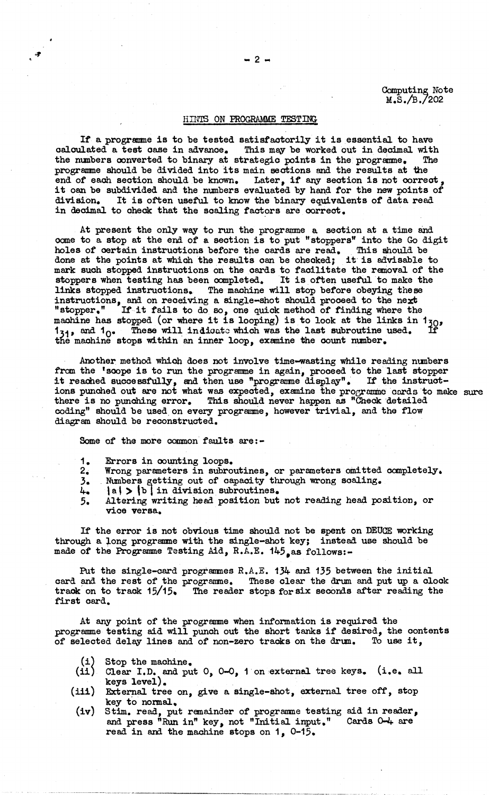Computing Note M.S.∕B.∕2O2

## HINTS ON PROGRAMME TESTING-

If a programme is to be tested satisfactorily it is essential to have calculated a test case in advance. This may be worked out in decimal with the numbers converted to binary at strategic roints in the programme. The the numbers converted to binary at strategic points in the programme. programme should be divided into its main sections and the results at the end of each section should be known. Later, if any section is not correct, it oan be subdivided and the numbers evaluated by hand for the new points of division. It is often useful to know the binary equivalents of data read in decimal to check that the scaling factors are correct.

At present the only way to run the programme a section at a time and oome to <sup>a</sup> stop at the end of <sup>a</sup> section is to put ''stoppers" into the Go digit holes of ∞rtain instructions before the oards are read. This should be done at the points at which the results oan be oheoked; it is advisable to mark such stopped instructions on the cards to facilitate the removal of the stoppers when testing has been completed. It is often useful to make the links stopped instructions. The machine will stop before obeying these instructions, and on receiving a single-shot should proceed to the next "stopper," If it fails to do so, one quick method of finding where the machine has stopped (or where it is looping) is to look at the links in 1<sub>30</sub>,  $1_{34}$ , and  $1_{0}$ . These will indicate which was the last subroutine used. the machine stops within an inner loop, examine the count number.

Another method which does not involve time-wasting while reading numbers Another method which does not involve time-wasting while reading numbers<br>from the 'scope is to run the programme in again, proceed to the last stopper it reached successfully, and then use "programme display". If the instructions punched out are not what was expected, examine the programme cards to make sure there is no punching error. This should never happen as "Check detailed coding" should be used on every progranme, however trivial, and the flow diagram should be reconstructed.

Some of the more common faults are:-

*\**

- 1. Errors in counting loops.<br>2. Wrong parameters in subro 2. Wrong parameters in subroutines, or parameters omitted completely.
- 3. Numbers getting out of capacity through wrong scaling.
- 3. Numbers getting out of capacity th<br>4. (a) > (b) in division subroutines.
- 5. Altering writing head position but not reading head position, or vice versa.

If the error is not obvious time should not be spent on DEUGE working through a long programme with the single-shot key; instead use should be made of the Programme Testing Aid, R.A.E. 145, as follows:-

Put the single-card prograπmes R.A.E. <sup>134</sup> and <sup>135</sup> between the initial card and the rest of the programme. These clear the drum and put up a clock track on to track 15/15» The reader stops for six seconds after reading the first card.

At any point of the programme when information is required the At any point of the programme when information is required the programme testing aid will punch out the short tanks if desired, the contents programme testing aid will punch out the short tanks if desired, the condensation of non-zero tracks on the drum. To use it,

- (i) Stop the machine.
- (ii) Clear I.D. and put 0, 0-0, <sup>1</sup> on external tree keys. (i.e. all keys level).
- (iii) External tree on, give a single-shot, external tree off, stop key to normal,
- (iv) Stim. read, put remainder of progranme testing aid in reader, and press "Run in" key, not "Initial input," Cards 0-⅛ are read in and the machine stops on 1, 0-15.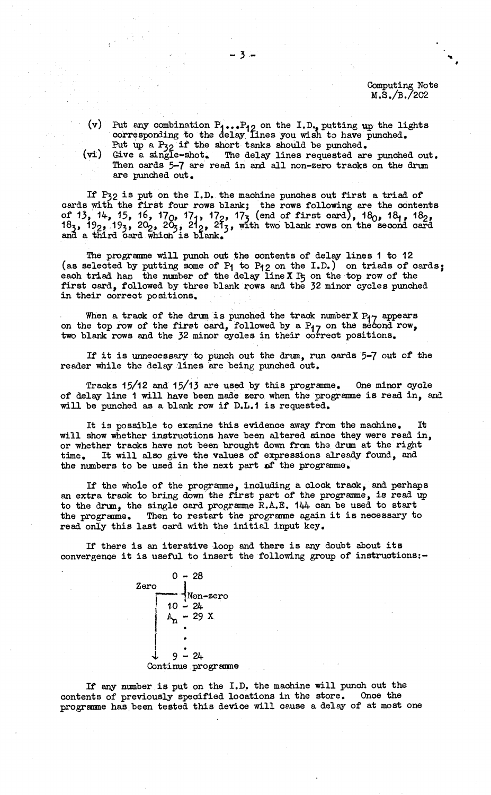Computing Note M.S./B./202

(v) Put any combination  $P_1$ ... $P_{12}$  on the I.D., putting up the lights corresponding to the delay lines you wish to have punched. Put up <sup>a</sup> P32 if the short tanks should be punched.

(vi) Give a single-shot. The delay lines requested are punched out. Then cards 5-7 are read in and all non-zero tracks on the drum are punched out.

If P32 is put on the I.D. the machine punches out first <sup>a</sup> triad of cards with the first four rows blank; the rows following are the contents of 13, 14, 15, 16, 17<sub>0</sub>, 17<sub>1</sub>, 17<sub>2</sub>, 17<sub>3</sub> (end of first card), 18<sub>0</sub>, 18<sub>1</sub>, 18<sub>2</sub>,  $18_3$ ,  $19_2$ ,  $19_3$ ,  $20_2$ ,  $20_3$ ,  $21_2$ ,  $27_3$ , with two blank rows on the second card and a third card which is blank.

The programme will punch out the contents of delay lines <sup>1</sup> to <sup>12</sup> (as seleoted by putting some of P∙j to P42 on the I.D.) on triads of cards; each triad hap the number of the delay line X If on the top row of the first card, followed by three blank rows and the 32 minor cycles punched in their oorreot positions.

When a track of the drum is punched the track number  $X P_{17}$  appears on the top row of the first card, followed by a  $P_{17}$  on the second row, two blank rows and the 32 minor cycles in their correct positions.

If it is unnecessary to punch out the drum, run cards  $5-7$  out of the reader while the delay lines are being punched out.

Tracks 15∕12 and 15/13 are used by this programme. One minor cycle of delay line <sup>1</sup> will have been made zero when the programme is read in, and will be punched as <sup>a</sup> blank row if D.L.1 is requested.

It is possible to examine this evidence away from the machine. It will show whether instructions have been altered sinoe they were read in, or whether tracks have not been brought down frαn the drum at the right time. It will also give the values of expressions already found, and the numbers to be used in the next part of the programme.

If the whole of the programme, including <sup>a</sup> clock track, and perhaps an extra track to bring down the first part of the programme, is read up to the drum, the single card programme R.A.E. 144 can be used to start the programme. Then to restart the programme again it is necessary to read only this last card with the initial input key.

If there is an iterative loop and there is any doubt about its convergence it is useful to insert the following group of instructions:-



If any number is put on the I.D. the machine will punch out the oontents of previously specified locations in the store, 0noe the programme has been tested this device will cause a delay of at most one

- 3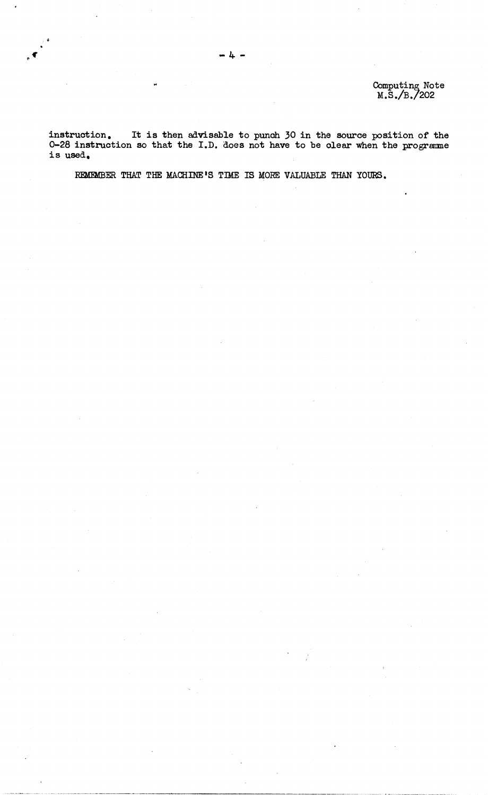## Computing Note M.S√B.∕202

instruction. It is then advisable to pundh <sup>30</sup> in the source position of the 0-28 instruction so that the I.D. does not have to be dear when the progranme is used.

REMEMBER THAT THE MACHINE'S TIME IS MORE VALUABLE THAN YOURS.